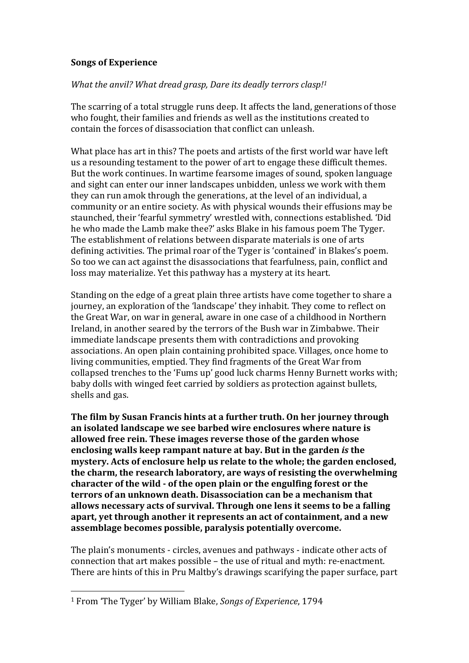## **Songs of Experience**

## *What the anvil? What dread grasp, Dare its deadly terrors clasp!<sup>1</sup>*

The scarring of a total struggle runs deep. It affects the land, generations of those who fought, their families and friends as well as the institutions created to contain the forces of disassociation that conflict can unleash.

What place has art in this? The poets and artists of the first world war have left us a resounding testament to the power of art to engage these difficult themes. But the work continues. In wartime fearsome images of sound, spoken language and sight can enter our inner landscapes unbidden, unless we work with them they can run amok through the generations, at the level of an individual, a community or an entire society. As with physical wounds their effusions may be staunched, their 'fearful symmetry' wrestled with, connections established. 'Did he who made the Lamb make thee?' asks Blake in his famous poem The Tyger. The establishment of relations between disparate materials is one of arts defining activities. The primal roar of the Tyger is 'contained' in Blakes's poem. So too we can act against the disassociations that fearfulness, pain, conflict and loss may materialize. Yet this pathway has a mystery at its heart.

Standing on the edge of a great plain three artists have come together to share a journey, an exploration of the 'landscape' they inhabit. They come to reflect on the Great War, on war in general, aware in one case of a childhood in Northern Ireland, in another seared by the terrors of the Bush war in Zimbabwe. Their immediate landscape presents them with contradictions and provoking associations. An open plain containing prohibited space. Villages, once home to living communities, emptied. They find fragments of the Great War from collapsed trenches to the 'Fums up' good luck charms Henny Burnett works with; baby dolls with winged feet carried by soldiers as protection against bullets, shells and gas.

**The film by Susan Francis hints at a further truth. On her journey through an isolated landscape we see barbed wire enclosures where nature is allowed free rein. These images reverse those of the garden whose enclosing walls keep rampant nature at bay. But in the garden** *is* **the mystery. Acts of enclosure help us relate to the whole; the garden enclosed, the charm, the research laboratory, are ways of resisting the overwhelming character of the wild - of the open plain or the engulfing forest or the terrors of an unknown death. Disassociation can be a mechanism that allows necessary acts of survival. Through one lens it seems to be a falling apart, yet through another it represents an act of containment, and a new assemblage becomes possible, paralysis potentially overcome.**

The plain's monuments - circles, avenues and pathways - indicate other acts of connection that art makes possible – the use of ritual and myth: re-enactment. There are hints of this in Pru Maltby's drawings scarifying the paper surface, part

 $\overline{a}$ 

<sup>1</sup> From 'The Tyger' by William Blake, *Songs of Experience*, 1794